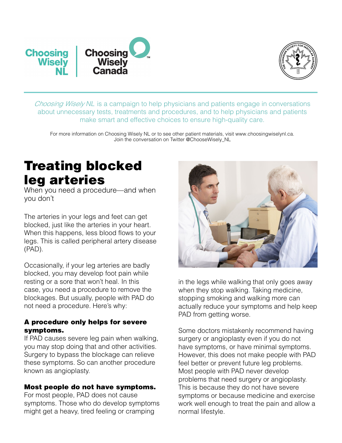



*Choosing Wisely* NL is a campaign to help physicians and patients engage in conversations about unnecessary tests, treatments and procedures, and to help physicians and patients make smart and effective choices to ensure high-quality care.

For more information on Choosing Wisely NL or to see other patient materials, visit [www.choosingwisel](http://http://www.choosingwiselycanada.org/)ynl.ca. Join the conversation on Twitter [@ChooseWisely\\_NL](https://twitter.com/ChooseWiselyCA)

# Treating blocked leg arteries

When you need a procedure—and when you don't

The arteries in your legs and feet can get blocked, just like the arteries in your heart. When this happens, less blood flows to your legs. This is called peripheral artery disease (PAD).

Occasionally, if your leg arteries are badly blocked, you may develop foot pain while resting or a sore that won't heal. In this case, you need a procedure to remove the blockages. But usually, people with PAD do not need a procedure. Here's why:

### A procedure only helps for severe symptoms.

If PAD causes severe leg pain when walking, you may stop doing that and other activities. Surgery to bypass the blockage can relieve these symptoms. So can another procedure known as angioplasty.

#### Most people do not have symptoms.

For most people, PAD does not cause symptoms. Those who do develop symptoms might get a heavy, tired feeling or cramping



in the legs while walking that only goes away when they stop walking. Taking medicine, stopping smoking and walking more can actually reduce your symptoms and help keep PAD from getting worse.

Some doctors mistakenly recommend having surgery or angioplasty even if you do not have symptoms, or have minimal symptoms. However, this does not make people with PAD feel better or prevent future leg problems. Most people with PAD never develop problems that need surgery or angioplasty. This is because they do not have severe symptoms or because medicine and exercise work well enough to treat the pain and allow a normal lifestyle.